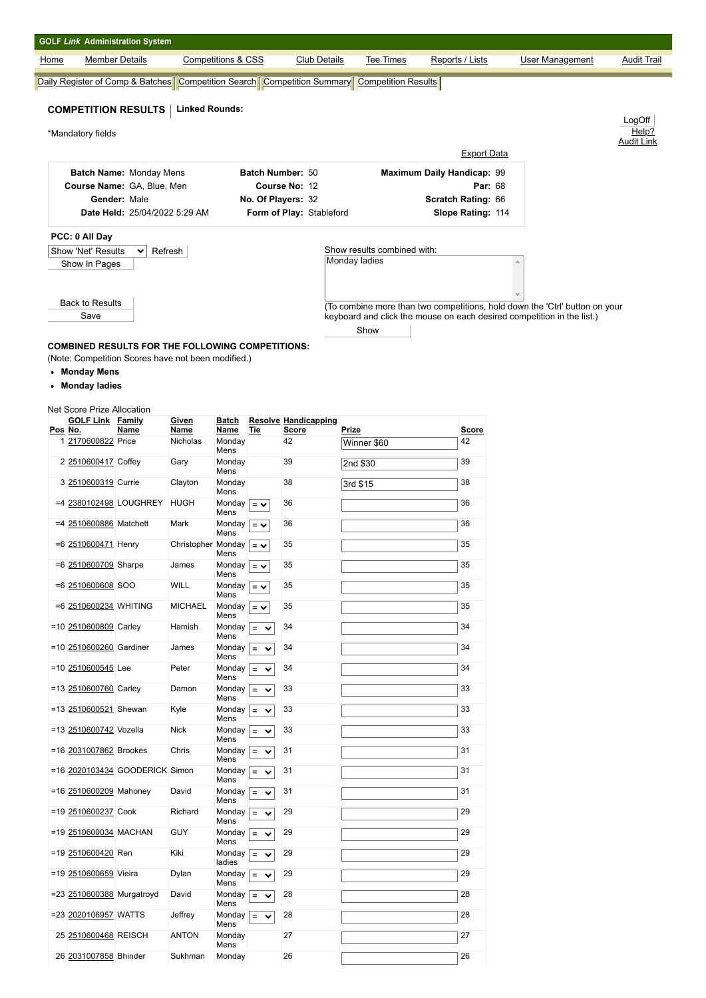| <b>GOLF Link Administration System</b>                |                                                         |                                                                                                              |                             |                                                                             |                 |                            |
|-------------------------------------------------------|---------------------------------------------------------|--------------------------------------------------------------------------------------------------------------|-----------------------------|-----------------------------------------------------------------------------|-----------------|----------------------------|
| <b>Member Details</b><br>Home                         |                                                         | Competitions & CSS<br><b>Club Details</b>                                                                    | <b>Tee Times</b>            | Reports / Lists                                                             | User Management | <b>Audit Trail</b>         |
|                                                       |                                                         | <b>Daily Register of Comp &amp; Batches   Competition Search   Competition Summary   Competition Results</b> |                             |                                                                             |                 |                            |
| <b>COMPETITION RESULTS</b>                            | <b>Linked Rounds:</b>                                   |                                                                                                              |                             |                                                                             |                 |                            |
|                                                       |                                                         |                                                                                                              |                             |                                                                             |                 | LogOff                     |
| *Mandatory fields                                     |                                                         |                                                                                                              |                             |                                                                             |                 | Help?<br><b>Audit Link</b> |
|                                                       |                                                         |                                                                                                              |                             | <b>Export Data</b>                                                          |                 |                            |
|                                                       | Batch Name: Monday Mens                                 | Batch Number: 50                                                                                             |                             | <b>Maximum Daily Handicap: 99</b>                                           |                 |                            |
|                                                       | Course Name: GA, Blue, Men                              | Course No: 12                                                                                                |                             | Par: 68                                                                     |                 |                            |
| Gender: Male                                          |                                                         | No. Of Players: 32                                                                                           |                             | Scratch Rating: 66                                                          |                 |                            |
|                                                       | Date Held: 25/04/2022 5:29 AM                           | Form of Play: Stableford                                                                                     |                             | Slope Rating: 114                                                           |                 |                            |
| PCC: 0 All Day                                        |                                                         |                                                                                                              |                             |                                                                             |                 |                            |
| Show 'Net' Results                                    | Refresh<br>$\checkmark$                                 |                                                                                                              | Show results combined with: |                                                                             |                 |                            |
| Show In Pages                                         |                                                         |                                                                                                              | Monday ladies               |                                                                             |                 |                            |
|                                                       |                                                         |                                                                                                              |                             |                                                                             |                 |                            |
|                                                       |                                                         |                                                                                                              |                             |                                                                             |                 |                            |
| <b>Back to Results</b>                                |                                                         |                                                                                                              |                             | (To combine more than two competitions, hold down the 'Ctrl' button on your |                 |                            |
| Save                                                  |                                                         |                                                                                                              |                             | keyboard and click the mouse on each desired competition in the list.)      |                 |                            |
|                                                       |                                                         |                                                                                                              | Show                        |                                                                             |                 |                            |
|                                                       | <b>COMBINED RESULTS FOR THE FOLLOWING COMPETITIONS:</b> |                                                                                                              |                             |                                                                             |                 |                            |
|                                                       | (Note: Competition Scores have not been modified.)      |                                                                                                              |                             |                                                                             |                 |                            |
| • Monday Mens                                         |                                                         |                                                                                                              |                             |                                                                             |                 |                            |
| Monday ladies<br>٠                                    |                                                         |                                                                                                              |                             |                                                                             |                 |                            |
| <b>Net Score Prize Allocation</b><br>GOLF Link Family | Given                                                   | Ratch<br>Resolve Handicanning                                                                                |                             |                                                                             |                 |                            |

| Pos No. | <b>GOLF Link</b>          | Family<br>Name                 | Given<br>Name      | Batch<br>Name      | Tie                      | <b>Resolve Handicapping</b><br><b>Score</b> | Prize       | <b>Score</b> |
|---------|---------------------------|--------------------------------|--------------------|--------------------|--------------------------|---------------------------------------------|-------------|--------------|
|         |                           |                                |                    |                    |                          |                                             |             |              |
|         | 1 2170600822 Price        |                                | Nicholas           | Monday<br>Mens     |                          | 42                                          | Winner \$60 | 42           |
|         | 2 2510600417 Coffey       |                                | Gary               | Monday<br>Mens     |                          | 39                                          | 2nd \$30    | 39           |
|         | 3 2510600319 Currie       |                                | Clayton            | Monday<br>Mens     |                          | 38                                          | 3rd \$15    | 38           |
|         | =4 2380102498 LOUGHREY    |                                | HUGH               | Monday<br>Mens     | $=$ $\vee$               | 36                                          |             | 36           |
|         | =4 2510600886 Matchett    |                                | Mark               | Monday<br>Mens     | $=$ $\vee$               | 36                                          |             | 36           |
|         | =6 2510600471 Henry       |                                | Christopher Monday | Mens               | $=$ $\vee$               | 35                                          |             | 35           |
|         | =6 2510600709 Sharpe      |                                | James              | Monday<br>Mens     | $=$ $\vee$               | 35                                          |             | 35           |
|         | $=6$ 2510600608 SOO       |                                | <b>WILL</b>        | Monday<br>Mens     | $=$ $\vee$               | 35                                          |             | 35           |
|         | =6 2510600234 WHITING     |                                | <b>MICHAEL</b>     | Monday  <br>Mens   | $=$ $\vee$               | 35                                          |             | 35           |
|         | =10 2510600809 Carley     |                                | Hamish             | Monday<br>Mens     | $\equiv$<br>$\checkmark$ | 34                                          |             | 34           |
|         | =10 2510600260 Gardiner   |                                | James              | Monday<br>Mens     | $\equiv$<br>$\checkmark$ | 34                                          |             | 34           |
|         | =10 2510600545 Lee        |                                | Peter              | Monday<br>Mens     | $=$<br>$\checkmark$      | 34                                          |             | 34           |
|         | =13 2510600760 Carley     |                                | Damon              | Monday  <br>Mens   | $\equiv$<br>$\checkmark$ | 33                                          |             | 33           |
|         | =13 2510600521 Shewan     |                                | Kyle               | Monday<br>Mens     | $\equiv$<br>$\checkmark$ | 33                                          |             | 33           |
|         | =13 2510600742 Vozella    |                                | <b>Nick</b>        | Monday<br>Mens     | $=$<br>$\checkmark$      | 33                                          |             | 33           |
|         | =16 2031007862 Brookes    |                                | Chris              | Monday<br>Mens     | $\equiv$<br>$\checkmark$ | 31                                          |             | 31           |
|         |                           | =16 2020103434 GOODERICK Simon |                    | Monday<br>Mens     | $=$<br>$\checkmark$      | 31                                          |             | 31           |
|         | =16 2510600209 Mahoney    |                                | David              | Monday  <br>Mens   | $\equiv$<br>$\check{ }$  | 31                                          |             | 31           |
|         | =19 2510600237 Cook       |                                | Richard            | Monday<br>Mens     | $\equiv$<br>$\checkmark$ | 29                                          |             | 29           |
|         | =19 2510600034 MACHAN     |                                | <b>GUY</b>         | Monday<br>Mens     | $=$<br>$\checkmark$      | 29                                          |             | 29           |
|         | =19 2510600420 Ren        |                                | Kiki               | Monday  <br>ladies | $=$<br>$\checkmark$      | 29                                          |             | 29           |
|         | =19 2510600659 Vieira     |                                | Dylan              | Monday<br>Mens     | $\equiv$<br>$\checkmark$ | 29                                          |             | 29           |
|         | =23 2510600388 Murgatroyd |                                | David              | Monday<br>Mens     | $\equiv$<br>$\checkmark$ | 28                                          |             | 28           |
|         | =23 2020106957 WATTS      |                                | Jeffrey            | Monday<br>Mens     | $=$<br>$\checkmark$      | 28                                          |             | 28           |
|         | 25 2510600468 REISCH      |                                | <b>ANTON</b>       | Monday<br>Mens     |                          | 27                                          |             | 27           |
|         | 26 2031007858 Bhinder     |                                | Sukhman            | Monday             |                          | 26                                          |             | 26           |